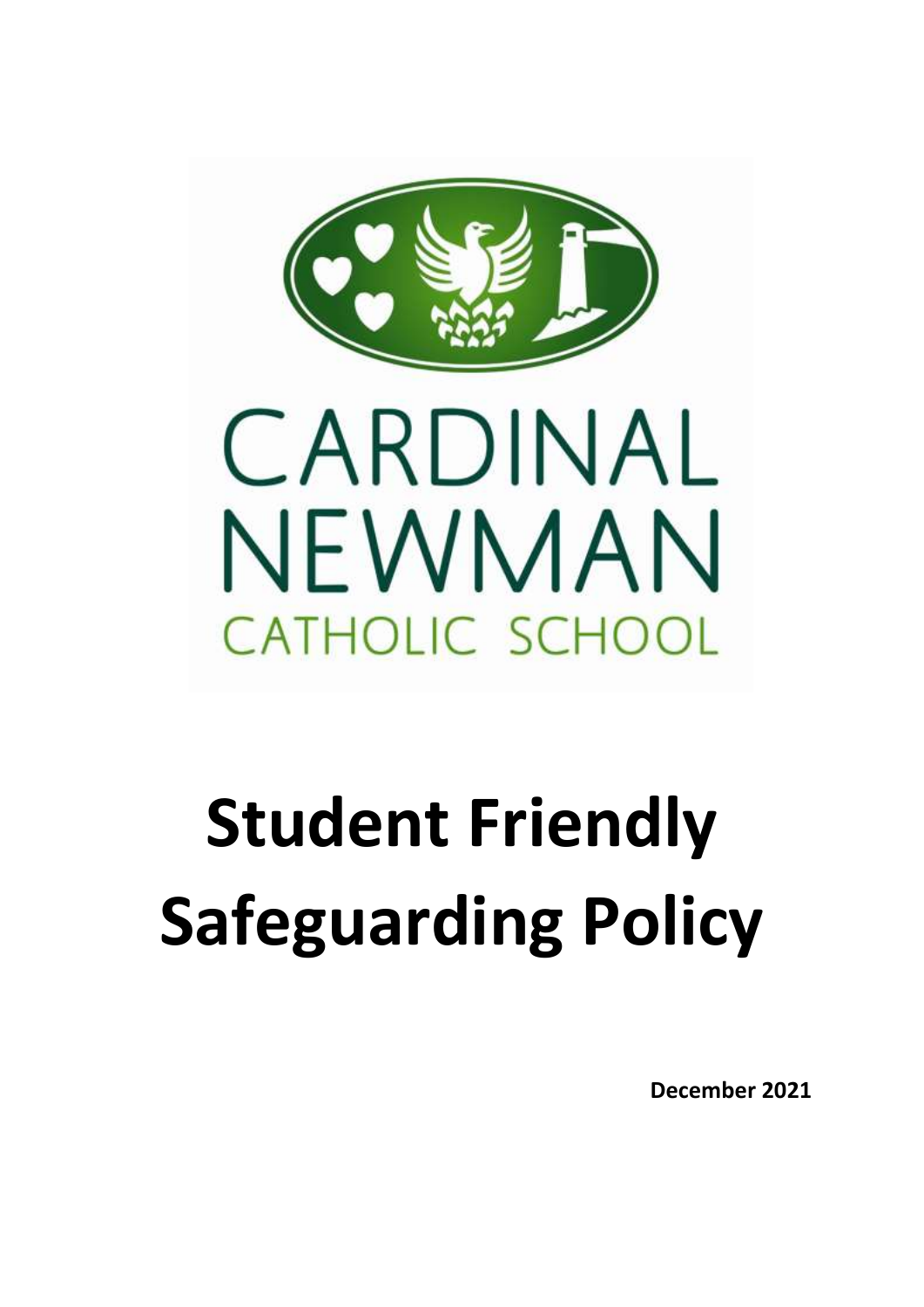

# **Student Friendly Safeguarding Policy**

**December 2021**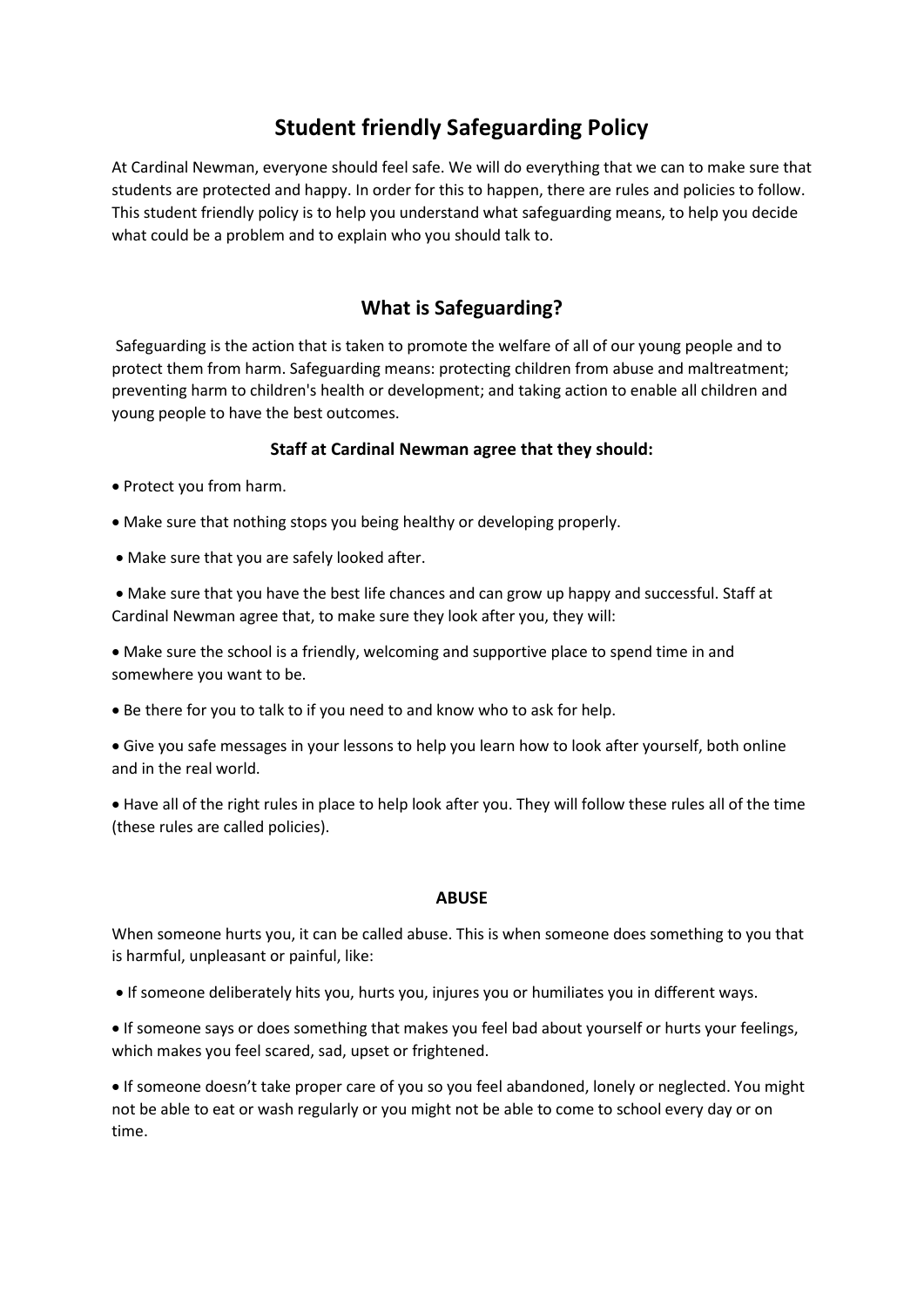# **Student friendly Safeguarding Policy**

At Cardinal Newman, everyone should feel safe. We will do everything that we can to make sure that students are protected and happy. In order for this to happen, there are rules and policies to follow. This student friendly policy is to help you understand what safeguarding means, to help you decide what could be a problem and to explain who you should talk to.

## **What is Safeguarding?**

Safeguarding is the action that is taken to promote the welfare of all of our young people and to protect them from harm. Safeguarding means: protecting children from abuse and maltreatment; preventing harm to children's health or development; and taking action to enable all children and young people to have the best outcomes.

#### **Staff at Cardinal Newman agree that they should:**

- Protect you from harm.
- Make sure that nothing stops you being healthy or developing properly.
- Make sure that you are safely looked after.

• Make sure that you have the best life chances and can grow up happy and successful. Staff at Cardinal Newman agree that, to make sure they look after you, they will:

• Make sure the school is a friendly, welcoming and supportive place to spend time in and somewhere you want to be.

• Be there for you to talk to if you need to and know who to ask for help.

• Give you safe messages in your lessons to help you learn how to look after yourself, both online and in the real world.

• Have all of the right rules in place to help look after you. They will follow these rules all of the time (these rules are called policies).

#### **ABUSE**

When someone hurts you, it can be called abuse. This is when someone does something to you that is harmful, unpleasant or painful, like:

- If someone deliberately hits you, hurts you, injures you or humiliates you in different ways.
- If someone says or does something that makes you feel bad about yourself or hurts your feelings, which makes you feel scared, sad, upset or frightened.

• If someone doesn't take proper care of you so you feel abandoned, lonely or neglected. You might not be able to eat or wash regularly or you might not be able to come to school every day or on time.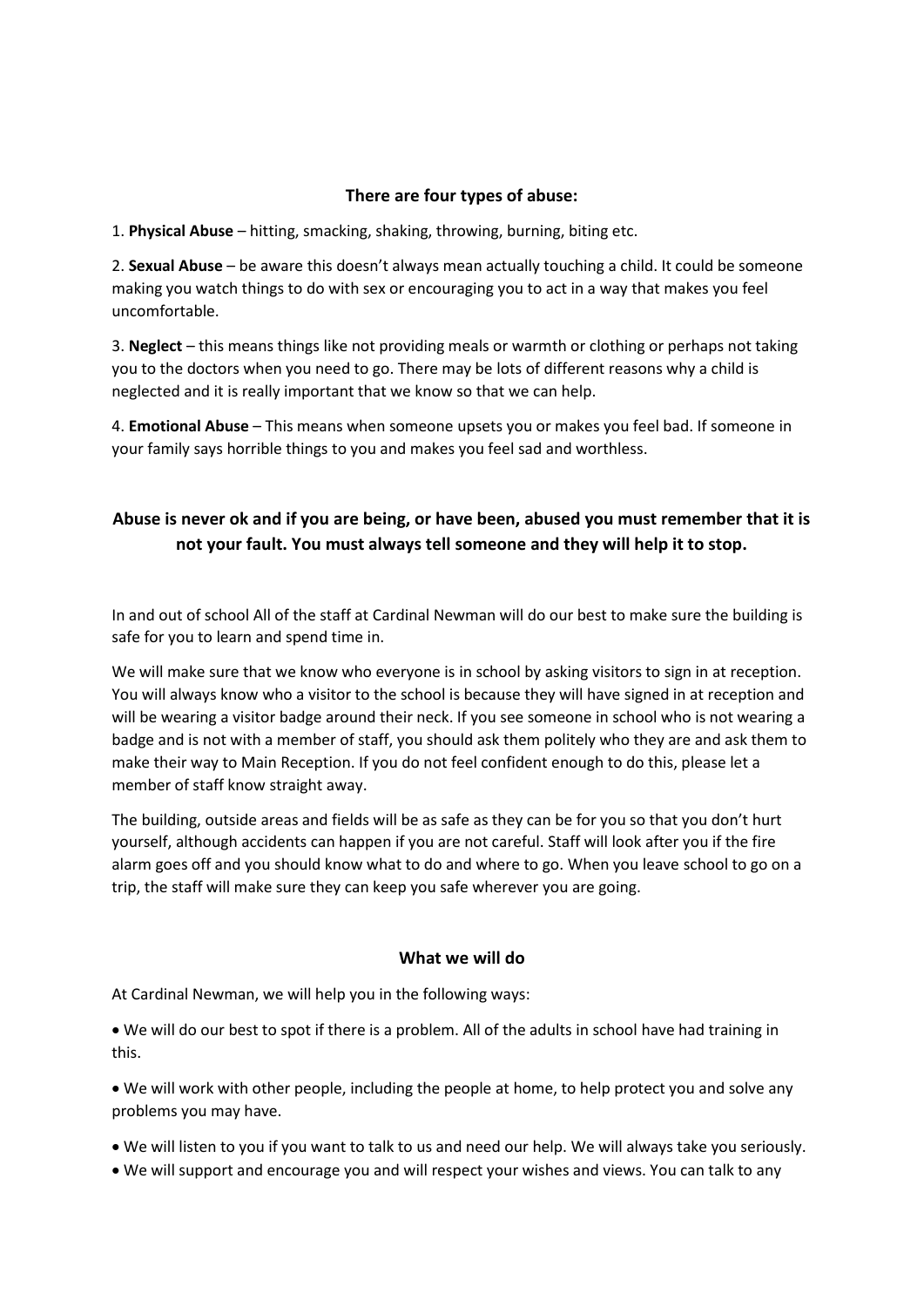#### **There are four types of abuse:**

1. **Physical Abuse** – hitting, smacking, shaking, throwing, burning, biting etc.

2. **Sexual Abuse** – be aware this doesn't always mean actually touching a child. It could be someone making you watch things to do with sex or encouraging you to act in a way that makes you feel uncomfortable.

3. **Neglect** – this means things like not providing meals or warmth or clothing or perhaps not taking you to the doctors when you need to go. There may be lots of different reasons why a child is neglected and it is really important that we know so that we can help.

4. **Emotional Abuse** – This means when someone upsets you or makes you feel bad. If someone in your family says horrible things to you and makes you feel sad and worthless.

### **Abuse is never ok and if you are being, or have been, abused you must remember that it is not your fault. You must always tell someone and they will help it to stop.**

In and out of school All of the staff at Cardinal Newman will do our best to make sure the building is safe for you to learn and spend time in.

We will make sure that we know who everyone is in school by asking visitors to sign in at reception. You will always know who a visitor to the school is because they will have signed in at reception and will be wearing a visitor badge around their neck. If you see someone in school who is not wearing a badge and is not with a member of staff, you should ask them politely who they are and ask them to make their way to Main Reception. If you do not feel confident enough to do this, please let a member of staff know straight away.

The building, outside areas and fields will be as safe as they can be for you so that you don't hurt yourself, although accidents can happen if you are not careful. Staff will look after you if the fire alarm goes off and you should know what to do and where to go. When you leave school to go on a trip, the staff will make sure they can keep you safe wherever you are going.

#### **What we will do**

At Cardinal Newman, we will help you in the following ways:

• We will do our best to spot if there is a problem. All of the adults in school have had training in this.

• We will work with other people, including the people at home, to help protect you and solve any problems you may have.

- We will listen to you if you want to talk to us and need our help. We will always take you seriously.
- We will support and encourage you and will respect your wishes and views. You can talk to any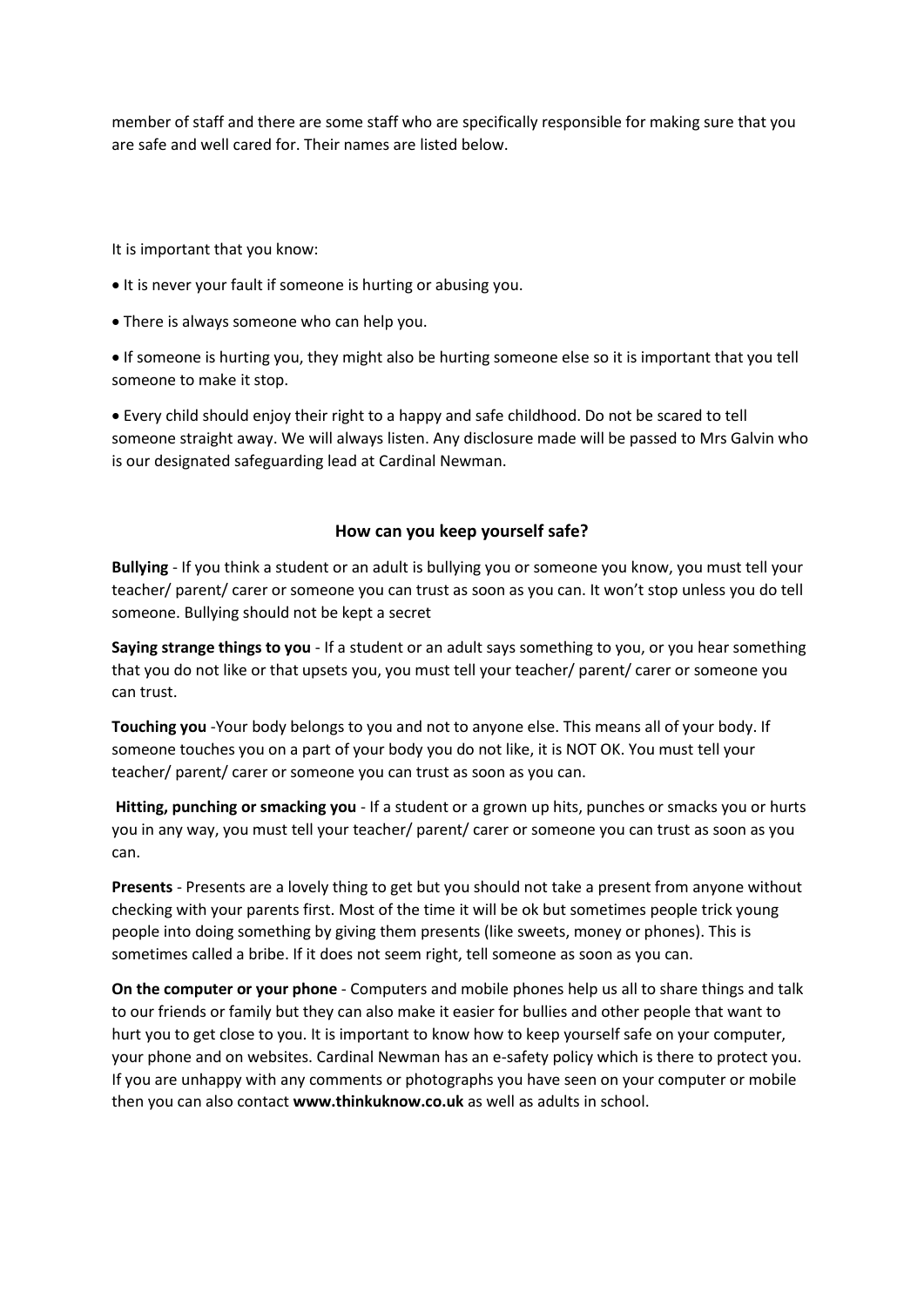member of staff and there are some staff who are specifically responsible for making sure that you are safe and well cared for. Their names are listed below.

It is important that you know:

- It is never your fault if someone is hurting or abusing you.
- There is always someone who can help you.

• If someone is hurting you, they might also be hurting someone else so it is important that you tell someone to make it stop.

• Every child should enjoy their right to a happy and safe childhood. Do not be scared to tell someone straight away. We will always listen. Any disclosure made will be passed to Mrs Galvin who is our designated safeguarding lead at Cardinal Newman.

#### **How can you keep yourself safe?**

**Bullying** - If you think a student or an adult is bullying you or someone you know, you must tell your teacher/ parent/ carer or someone you can trust as soon as you can. It won't stop unless you do tell someone. Bullying should not be kept a secret

**Saying strange things to you** - If a student or an adult says something to you, or you hear something that you do not like or that upsets you, you must tell your teacher/ parent/ carer or someone you can trust.

**Touching you** -Your body belongs to you and not to anyone else. This means all of your body. If someone touches you on a part of your body you do not like, it is NOT OK. You must tell your teacher/ parent/ carer or someone you can trust as soon as you can.

**Hitting, punching or smacking you** - If a student or a grown up hits, punches or smacks you or hurts you in any way, you must tell your teacher/ parent/ carer or someone you can trust as soon as you can.

**Presents** - Presents are a lovely thing to get but you should not take a present from anyone without checking with your parents first. Most of the time it will be ok but sometimes people trick young people into doing something by giving them presents (like sweets, money or phones). This is sometimes called a bribe. If it does not seem right, tell someone as soon as you can.

**On the computer or your phone** - Computers and mobile phones help us all to share things and talk to our friends or family but they can also make it easier for bullies and other people that want to hurt you to get close to you. It is important to know how to keep yourself safe on your computer, your phone and on websites. Cardinal Newman has an e-safety policy which is there to protect you. If you are unhappy with any comments or photographs you have seen on your computer or mobile then you can also contact **www.thinkuknow.co.uk** as well as adults in school.